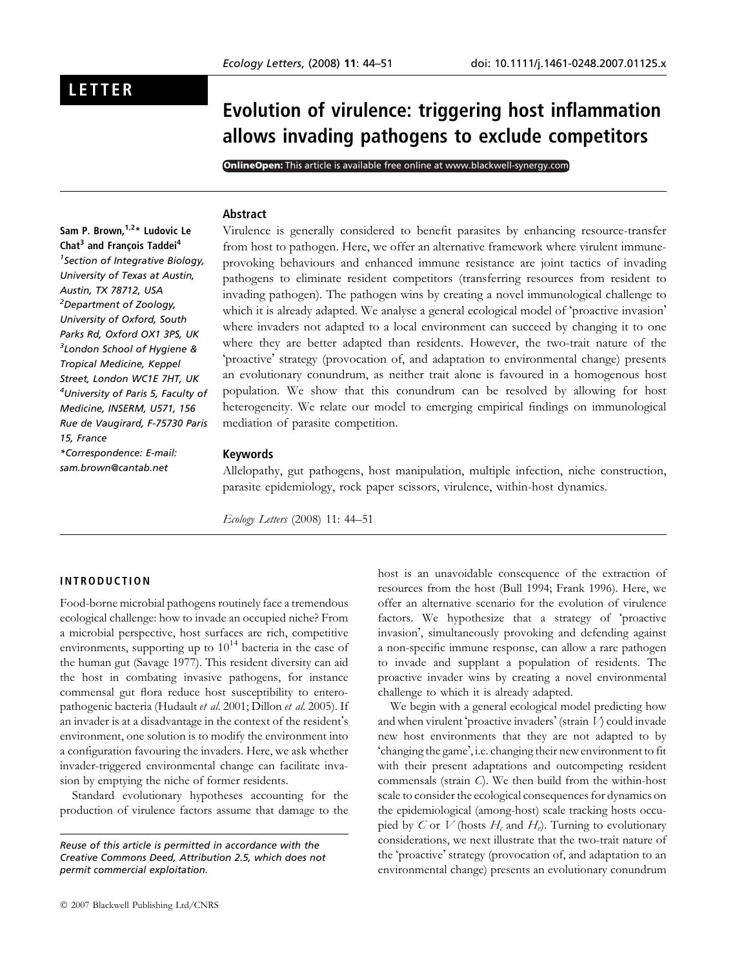# LETTER

# Evolution of virulence: triggering host inflammation allows invading pathogens to exclude competitors

**OnlineOpen:** This article is available free online at www.blackwell-synergy.com

#### Abstract

Sam P. Brown, <sup>1,2\*</sup> Ludovic Le Chat<sup>3</sup> and François Taddei<sup>4</sup> 1 Section of Integrative Biology, University of Texas at Austin, Austin, TX 78712, USA <sup>2</sup>Department of Zoology, University of Oxford, South Parks Rd, Oxford OX1 3PS, UK  $^3$ London School of Hygiene & Tropical Medicine, Keppel Street, London WC1E 7HT, UK 4 University of Paris 5, Faculty of Medicine, INSERM, U571, 156 Rue de Vaugirard, F-75730 Paris 15, France \*Correspondence: E-mail: sam.brown@cantab.net

Virulence is generally considered to benefit parasites by enhancing resource-transfer from host to pathogen. Here, we offer an alternative framework where virulent immuneprovoking behaviours and enhanced immune resistance are joint tactics of invading pathogens to eliminate resident competitors (transferring resources from resident to invading pathogen). The pathogen wins by creating a novel immunological challenge to which it is already adapted. We analyse a general ecological model of 'proactive invasion' where invaders not adapted to a local environment can succeed by changing it to one where they are better adapted than residents. However, the two-trait nature of the 'proactive' strategy (provocation of, and adaptation to environmental change) presents an evolutionary conundrum, as neither trait alone is favoured in a homogenous host population. We show that this conundrum can be resolved by allowing for host heterogeneity. We relate our model to emerging empirical findings on immunological mediation of parasite competition.

#### Keywords

Allelopathy, gut pathogens, host manipulation, multiple infection, niche construction, parasite epidemiology, rock paper scissors, virulence, within-host dynamics.

Ecology Letters (2008) 11: 44–51

# INTRODUCTION

Food-borne microbial pathogens routinely face a tremendous ecological challenge: how to invade an occupied niche? From a microbial perspective, host surfaces are rich, competitive environments, supporting up to  $10^{14}$  bacteria in the case of the human gut (Savage 1977). This resident diversity can aid the host in combating invasive pathogens, for instance commensal gut flora reduce host susceptibility to enteropathogenic bacteria (Hudault et al. 2001; Dillon et al. 2005). If an invader is at a disadvantage in the context of the resident's environment, one solution is to modify the environment into a configuration favouring the invaders. Here, we ask whether invader-triggered environmental change can facilitate invasion by emptying the niche of former residents.

Standard evolutionary hypotheses accounting for the production of virulence factors assume that damage to the

Reuse of this article is permitted in accordance with the Creative Commons Deed, Attribution 2.5, which does not permit commercial exploitation.

host is an unavoidable consequence of the extraction of resources from the host (Bull 1994; Frank 1996). Here, we offer an alternative scenario for the evolution of virulence factors. We hypothesize that a strategy of 'proactive invasion', simultaneously provoking and defending against a non-specific immune response, can allow a rare pathogen to invade and supplant a population of residents. The proactive invader wins by creating a novel environmental challenge to which it is already adapted.

We begin with a general ecological model predicting how and when virulent 'proactive invaders' (strain  $V$ ) could invade new host environments that they are not adapted to by 'changing the game', i.e. changing their new environment to fit with their present adaptations and outcompeting resident commensals (strain C). We then build from the within-host scale to consider the ecological consequences for dynamics on the epidemiological (among-host) scale tracking hosts occupied by C or V (hosts  $H_c$  and  $H_v$ ). Turning to evolutionary considerations, we next illustrate that the two-trait nature of the 'proactive' strategy (provocation of, and adaptation to an environmental change) presents an evolutionary conundrum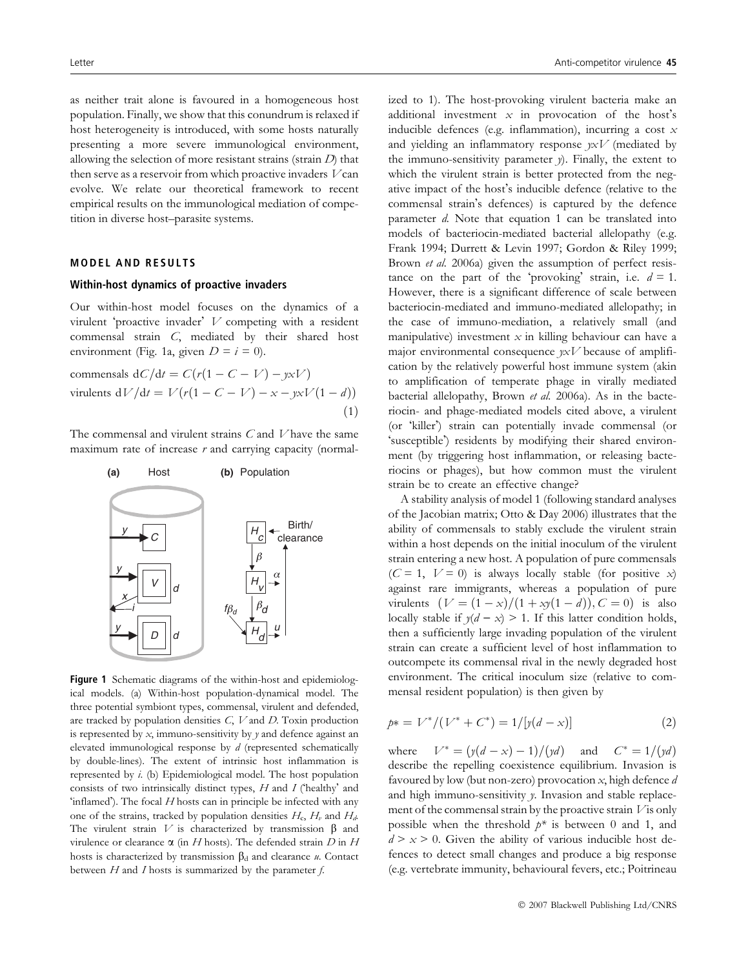as neither trait alone is favoured in a homogeneous host population. Finally, we show that this conundrum is relaxed if host heterogeneity is introduced, with some hosts naturally presenting a more severe immunological environment, allowing the selection of more resistant strains (strain  $D$ ) that then serve as a reservoir from which proactive invaders  $V$  can evolve. We relate our theoretical framework to recent empirical results on the immunological mediation of competition in diverse host–parasite systems.

# MODEL AND RESULTS

#### Within-host dynamics of proactive invaders

Our within-host model focuses on the dynamics of a virulent 'proactive invader'  $V$  competing with a resident commensal strain C, mediated by their shared host environment (Fig. 1a, given  $D = i = 0$ ).

$$
\text{commensals } dC/dt = C(r(1 - C - V) - y \times V)
$$
\n
$$
\text{virulents } dV/dt = V(r(1 - C - V) - x - y \times V(1 - d))
$$
\n
$$
\tag{1}
$$

The commensal and virulent strains C and V have the same maximum rate of increase  $r$  and carrying capacity (normal-



Figure 1 Schematic diagrams of the within-host and epidemiological models. (a) Within-host population-dynamical model. The three potential symbiont types, commensal, virulent and defended, are tracked by population densities  $C$ ,  $V$  and  $D$ . Toxin production is represented by  $x$ , immuno-sensitivity by  $y$  and defence against an elevated immunological response by d (represented schematically by double-lines). The extent of intrinsic host inflammation is represented by i. (b) Epidemiological model. The host population consists of two intrinsically distinct types,  $H$  and  $I$  (healthy' and 'inflamed'). The focal H hosts can in principle be infected with any one of the strains, tracked by population densities  $H_c$ ,  $H_v$  and  $H_d$ . The virulent strain V is characterized by transmission  $\beta$  and virulence or clearance  $\alpha$  (in H hosts). The defended strain D in H hosts is characterized by transmission  $\beta_d$  and clearance u. Contact between  $H$  and  $I$  hosts is summarized by the parameter  $f$ .

ized to 1). The host-provoking virulent bacteria make an additional investment  $x$  in provocation of the host's inducible defences (e.g. inflammation), incurring a cost  $x$ and yielding an inflammatory response  $\gamma x V$  (mediated by the immuno-sensitivity parameter y). Finally, the extent to which the virulent strain is better protected from the negative impact of the host's inducible defence (relative to the commensal strain's defences) is captured by the defence parameter  $d$ . Note that equation 1 can be translated into models of bacteriocin-mediated bacterial allelopathy (e.g. Frank 1994; Durrett & Levin 1997; Gordon & Riley 1999; Brown *et al.* 2006a) given the assumption of perfect resistance on the part of the 'provoking' strain, i.e.  $d = 1$ . However, there is a significant difference of scale between bacteriocin-mediated and immuno-mediated allelopathy; in the case of immuno-mediation, a relatively small (and manipulative) investment  $x$  in killing behaviour can have a major environmental consequence  $yxV$  because of amplification by the relatively powerful host immune system (akin to amplification of temperate phage in virally mediated bacterial allelopathy, Brown et al. 2006a). As in the bacteriocin- and phage-mediated models cited above, a virulent (or -killer) strain can potentially invade commensal (or -susceptible) residents by modifying their shared environment (by triggering host inflammation, or releasing bacteriocins or phages), but how common must the virulent strain be to create an effective change?

A stability analysis of model 1 (following standard analyses of the Jacobian matrix; Otto & Day 2006) illustrates that the ability of commensals to stably exclude the virulent strain within a host depends on the initial inoculum of the virulent strain entering a new host. A population of pure commensals  $(C = 1, V = 0)$  is always locally stable (for positive x) against rare immigrants, whereas a population of pure virulents  $(V = (1 - x)/(1 + xy(1 - d)), C = 0)$  is also locally stable if  $y(d - x) > 1$ . If this latter condition holds, then a sufficiently large invading population of the virulent strain can create a sufficient level of host inflammation to outcompete its commensal rival in the newly degraded host environment. The critical inoculum size (relative to commensal resident population) is then given by

$$
p* = V^* / (V^* + C^*) = 1 / [y(d - x)] \tag{2}
$$

where  $V^* = (y(d - x) - 1) / (yd)$  and  $C^* = 1 / (yd)$ describe the repelling coexistence equilibrium. Invasion is favoured by low (but non-zero) provocation  $x$ , high defence  $d$ and high immuno-sensitivity y. Invasion and stable replacement of the commensal strain by the proactive strain  $V$  is only possible when the threshold  $p^*$  is between 0 and 1, and  $d > x > 0$ . Given the ability of various inducible host defences to detect small changes and produce a big response (e.g. vertebrate immunity, behavioural fevers, etc.; Poitrineau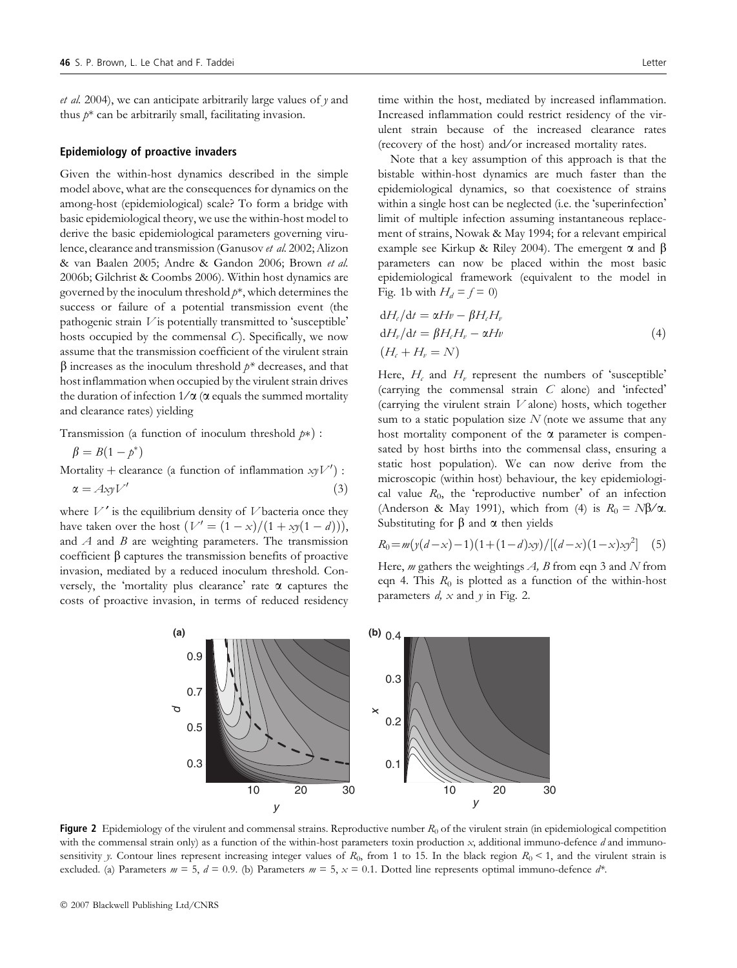et al. 2004), we can anticipate arbitrarily large values of  $y$  and thus  $p^*$  can be arbitrarily small, facilitating invasion.

#### Epidemiology of proactive invaders

Given the within-host dynamics described in the simple model above, what are the consequences for dynamics on the among-host (epidemiological) scale? To form a bridge with basic epidemiological theory, we use the within-host model to derive the basic epidemiological parameters governing virulence, clearance and transmission (Ganusov et al. 2002; Alizon & van Baalen 2005; Andre & Gandon 2006; Brown et al. 2006b; Gilchrist & Coombs 2006). Within host dynamics are governed by the inoculum threshold  $p^*$ , which determines the success or failure of a potential transmission event (the pathogenic strain  $V$  is potentially transmitted to 'susceptible' hosts occupied by the commensal C). Specifically, we now assume that the transmission coefficient of the virulent strain  $\beta$  increases as the inoculum threshold  $p^*$  decreases, and that host inflammation when occupied by the virulent strain drives the duration of infection  $1/\alpha$  ( $\alpha$  equals the summed mortality and clearance rates) yielding

Transmission (a function of inoculum threshold  $p*$ ) :

$$
\beta = B(1 - p^*)
$$

Mortality + clearance (a function of inflammation  $xyV'$ ) :  $\alpha = AxyV'$  (3)

where  $V'$  is the equilibrium density of  $V$  bacteria once they have taken over the host  $(V' = (1 - x)/(1 + xy(1 - d))),$ and  $A$  and  $B$  are weighting parameters. The transmission coefficient  $\beta$  captures the transmission benefits of proactive invasion, mediated by a reduced inoculum threshold. Conversely, the 'mortality plus clearance' rate  $\alpha$  captures the costs of proactive invasion, in terms of reduced residency time within the host, mediated by increased inflammation. Increased inflammation could restrict residency of the virulent strain because of the increased clearance rates (recovery of the host) and ⁄ or increased mortality rates.

Note that a key assumption of this approach is that the bistable within-host dynamics are much faster than the epidemiological dynamics, so that coexistence of strains within a single host can be neglected (i.e. the 'superinfection' limit of multiple infection assuming instantaneous replacement of strains, Nowak & May 1994; for a relevant empirical example see Kirkup & Riley 2004). The emergent  $\alpha$  and  $\beta$ parameters can now be placed within the most basic epidemiological framework (equivalent to the model in Fig. 1b with  $H_d = f = 0$ )

$$
dH_{\ell}/dt = \alpha Hv - \beta H_{\ell}H_{\nu}
$$
  
\n
$$
dH_{\nu}/dt = \beta H_{\ell}H_{\nu} - \alpha Hv
$$
  
\n
$$
(H_{\ell} + H_{\nu} = N)
$$
\n(4)

Here,  $H_c$  and  $H_v$  represent the numbers of 'susceptible' (carrying the commensal strain  $C$  alone) and 'infected' (carrying the virulent strain  $V$  alone) hosts, which together sum to a static population size  $N$  (note we assume that any host mortality component of the  $\alpha$  parameter is compensated by host births into the commensal class, ensuring a static host population). We can now derive from the microscopic (within host) behaviour, the key epidemiological value  $R_0$ , the 'reproductive number' of an infection (Anderson & May 1991), which from (4) is  $R_0 = N\beta/\alpha$ . Substituting for  $\beta$  and  $\alpha$  then yields

$$
R_0 = m\left(\frac{y(d-x)-1}{1+(1-d)\,xy}\right) / \left[\frac{d-x}{1-x}\right]\,xy^2\right] \tag{5}
$$

Here, *m* gathers the weightings  $A$ ,  $B$  from eqn 3 and  $N$  from eqn 4. This  $R_0$  is plotted as a function of the within-host parameters  $d$ ,  $x$  and  $y$  in Fig. 2.



Figure 2 Epidemiology of the virulent and commensal strains. Reproductive number  $R_0$  of the virulent strain (in epidemiological competition with the commensal strain only) as a function of the within-host parameters toxin production  $x$ , additional immuno-defence  $d$  and immunosensitivity y. Contour lines represent increasing integer values of  $R_0$ , from 1 to 15. In the black region  $R_0 < 1$ , and the virulent strain is excluded. (a) Parameters  $m = 5$ ,  $d = 0.9$ . (b) Parameters  $m = 5$ ,  $x = 0.1$ . Dotted line represents optimal immuno-defence  $d^*$ .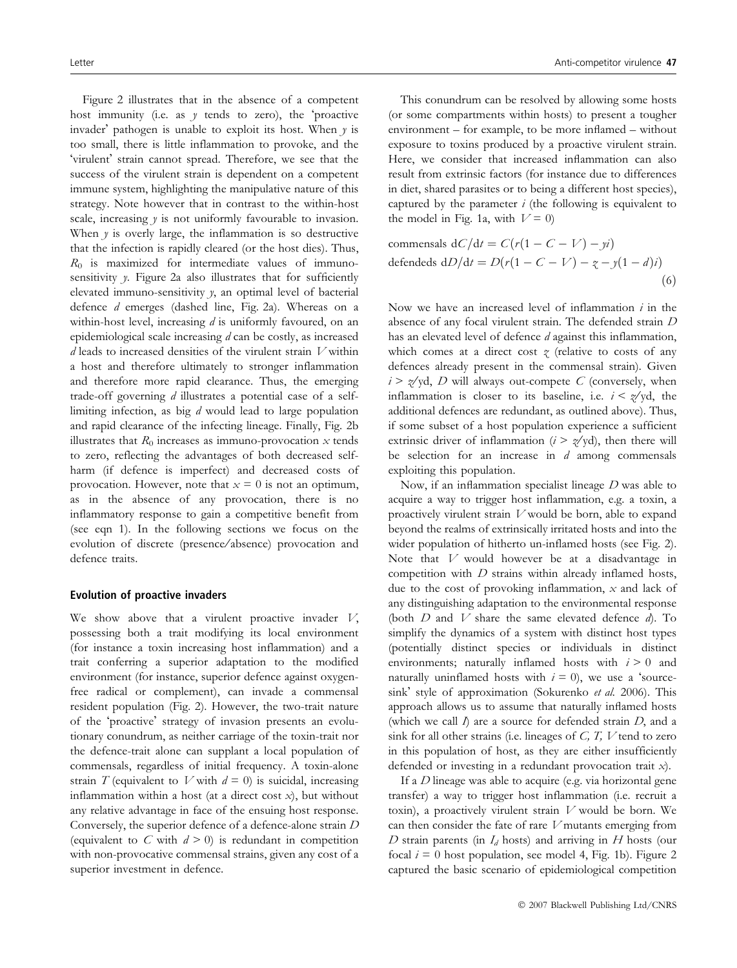Figure 2 illustrates that in the absence of a competent host immunity (i.e. as  $y$  tends to zero), the 'proactive invader' pathogen is unable to exploit its host. When  $y$  is too small, there is little inflammation to provoke, and the 'virulent' strain cannot spread. Therefore, we see that the success of the virulent strain is dependent on a competent immune system, highlighting the manipulative nature of this strategy. Note however that in contrast to the within-host scale, increasing  $y$  is not uniformly favourable to invasion. When  $y$  is overly large, the inflammation is so destructive that the infection is rapidly cleared (or the host dies). Thus,  $R_0$  is maximized for intermediate values of immunosensitivity y. Figure 2a also illustrates that for sufficiently elevated immuno-sensitivity y, an optimal level of bacterial defence d emerges (dashed line, Fig. 2a). Whereas on a within-host level, increasing  $d$  is uniformly favoured, on an epidemiological scale increasing d can be costly, as increased  $d$  leads to increased densities of the virulent strain  $V$  within a host and therefore ultimately to stronger inflammation and therefore more rapid clearance. Thus, the emerging trade-off governing d illustrates a potential case of a selflimiting infection, as big d would lead to large population and rapid clearance of the infecting lineage. Finally, Fig. 2b illustrates that  $R_0$  increases as immuno-provocation x tends to zero, reflecting the advantages of both decreased selfharm (if defence is imperfect) and decreased costs of provocation. However, note that  $x = 0$  is not an optimum, as in the absence of any provocation, there is no inflammatory response to gain a competitive benefit from (see eqn 1). In the following sections we focus on the evolution of discrete (presence/absence) provocation and defence traits.

#### Evolution of proactive invaders

We show above that a virulent proactive invader  $V$ , possessing both a trait modifying its local environment (for instance a toxin increasing host inflammation) and a trait conferring a superior adaptation to the modified environment (for instance, superior defence against oxygenfree radical or complement), can invade a commensal resident population (Fig. 2). However, the two-trait nature of the 'proactive' strategy of invasion presents an evolutionary conundrum, as neither carriage of the toxin-trait nor the defence-trait alone can supplant a local population of commensals, regardless of initial frequency. A toxin-alone strain T (equivalent to V with  $d = 0$ ) is suicidal, increasing inflammation within a host (at a direct cost  $x$ ), but without any relative advantage in face of the ensuing host response. Conversely, the superior defence of a defence-alone strain D (equivalent to C with  $d > 0$ ) is redundant in competition with non-provocative commensal strains, given any cost of a superior investment in defence.

This conundrum can be resolved by allowing some hosts (or some compartments within hosts) to present a tougher environment – for example, to be more inflamed – without exposure to toxins produced by a proactive virulent strain. Here, we consider that increased inflammation can also result from extrinsic factors (for instance due to differences in diet, shared parasites or to being a different host species), captured by the parameter  $i$  (the following is equivalent to the model in Fig. 1a, with  $V = 0$ 

commensals 
$$
dC/dt = C(r(1 - C - V) - yi)
$$
  
defendeds  $dD/dt = D(r(1 - C - V) - z - y(1 - d)i)$  (6)

Now we have an increased level of inflammation  $i$  in the absence of any focal virulent strain. The defended strain D has an elevated level of defence *d* against this inflammation, which comes at a direct cost  $\gamma$  (relative to costs of any defences already present in the commensal strain). Given  $i > z$ /yd, D will always out-compete C (conversely, when inflammation is closer to its baseline, i.e.  $i < \frac{z}{y}$  the additional defences are redundant, as outlined above). Thus, if some subset of a host population experience a sufficient extrinsic driver of inflammation ( $i > \frac{g}{g}$ ), then there will be selection for an increase in  $d$  among commensals exploiting this population.

Now, if an inflammation specialist lineage  $D$  was able to acquire a way to trigger host inflammation, e.g. a toxin, a proactively virulent strain V would be born, able to expand beyond the realms of extrinsically irritated hosts and into the wider population of hitherto un-inflamed hosts (see Fig. 2). Note that V would however be at a disadvantage in competition with  $D$  strains within already inflamed hosts, due to the cost of provoking inflammation,  $x$  and lack of any distinguishing adaptation to the environmental response (both  $D$  and  $V$  share the same elevated defence  $d$ ). To simplify the dynamics of a system with distinct host types (potentially distinct species or individuals in distinct environments; naturally inflamed hosts with  $i > 0$  and naturally uninflamed hosts with  $i = 0$ ), we use a 'sourcesink' style of approximation (Sokurenko et al. 2006). This approach allows us to assume that naturally inflamed hosts (which we call  $I$ ) are a source for defended strain  $D$ , and a sink for all other strains (i.e. lineages of  $C$ ,  $T$ ,  $V$  tend to zero in this population of host, as they are either insufficiently defended or investing in a redundant provocation trait x).

If a D lineage was able to acquire (e.g. via horizontal gene transfer) a way to trigger host inflammation (i.e. recruit a toxin), a proactively virulent strain V would be born. We can then consider the fate of rare  $V$  mutants emerging from D strain parents (in  $I_d$  hosts) and arriving in H hosts (our focal  $i = 0$  host population, see model 4, Fig. 1b). Figure 2 captured the basic scenario of epidemiological competition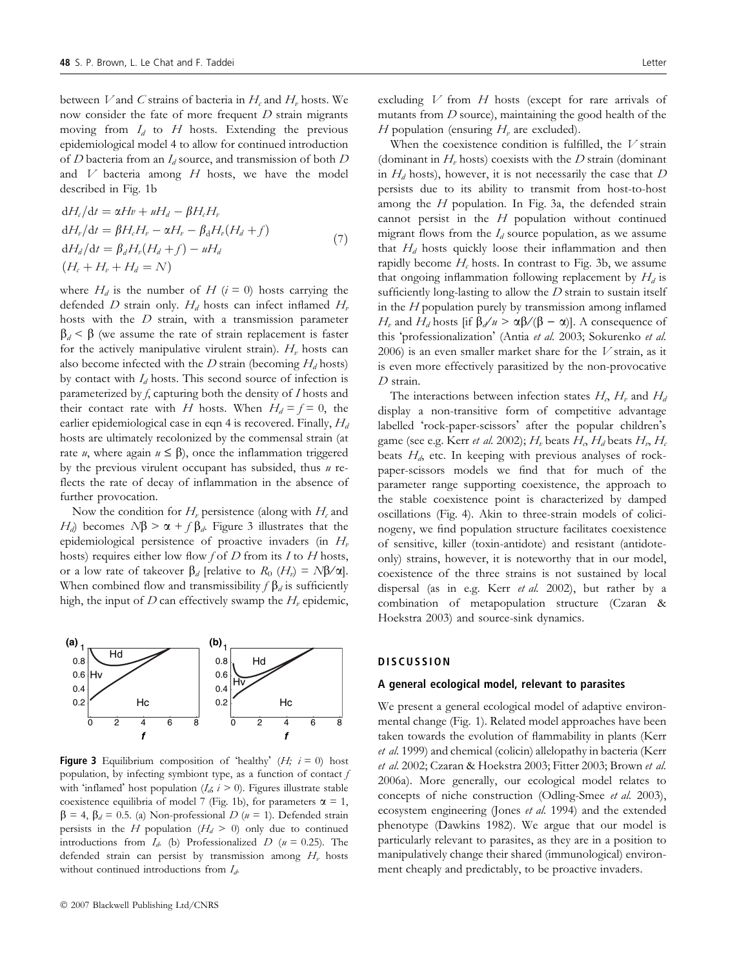between V and C strains of bacteria in  $H_c$  and  $H_v$  hosts. We now consider the fate of more frequent D strain migrants moving from  $I_d$  to  $H$  hosts. Extending the previous epidemiological model 4 to allow for continued introduction of D bacteria from an  $I_d$  source, and transmission of both D and  $V$  bacteria among  $H$  hosts, we have the model described in Fig. 1b

$$
dH_c/dt = \alpha Hv + uH_d - \beta H_cH_v
$$
  
\n
$$
dH_v/dt = \beta H_cH_v - \alpha H_v - \beta_d H_v(H_d + f)
$$
  
\n
$$
dH_d/dt = \beta_d H_v(H_d + f) - uH_d
$$
  
\n
$$
(H_c + H_v + H_d = N)
$$
\n(7)

where  $H_d$  is the number of H ( $i = 0$ ) hosts carrying the defended D strain only.  $H_d$  hosts can infect inflamed  $H_v$ hosts with the  $D$  strain, with a transmission parameter  $\beta_d < \beta$  (we assume the rate of strain replacement is faster for the actively manipulative virulent strain).  $H<sub>v</sub>$  hosts can also become infected with the  $D$  strain (becoming  $H_d$  hosts) by contact with  $I_d$  hosts. This second source of infection is parameterized by f, capturing both the density of I hosts and their contact rate with H hosts. When  $H_d = f = 0$ , the earlier epidemiological case in eqn 4 is recovered. Finally,  $H_d$ hosts are ultimately recolonized by the commensal strain (at rate *u*, where again  $u \leq \beta$ ), once the inflammation triggered by the previous virulent occupant has subsided, thus  $u$  reflects the rate of decay of inflammation in the absence of further provocation.

Now the condition for  $H<sub>v</sub>$  persistence (along with  $H<sub>c</sub>$  and  $H_d$ ) becomes  $N\beta > \alpha + f \beta_d$ . Figure 3 illustrates that the epidemiological persistence of proactive invaders (in  $H<sub>v</sub>$ hosts) requires either low flow f of  $D$  from its  $I$  to  $H$  hosts, or a low rate of takeover  $\beta_d$  [relative to  $R_0$  (H<sub>v</sub>) =  $N\beta/\alpha$ ]. When combined flow and transmissibility  $f \beta_d$  is sufficiently high, the input of  $D$  can effectively swamp the  $H_\nu$  epidemic,



**Figure 3** Equilibrium composition of 'healthy'  $(H; i = 0)$  host population, by infecting symbiont type, as a function of contact  $f$ with 'inflamed' host population  $(I_d, i \geq 0)$ . Figures illustrate stable coexistence equilibria of model 7 (Fig. 1b), for parameters  $\alpha = 1$ ,  $\beta = 4$ ,  $\beta_d = 0.5$ . (a) Non-professional D (u = 1). Defended strain persists in the H population  $(H_d > 0)$  only due to continued introductions from  $I<sub>d</sub>$ . (b) Professionalized D ( $u = 0.25$ ). The defended strain can persist by transmission among  $H<sub>v</sub>$  hosts without continued introductions from  $I_d$ .

excluding  $V$  from  $H$  hosts (except for rare arrivals of mutants from  $D$  source), maintaining the good health of the H population (ensuring  $H<sub>v</sub>$  are excluded).

When the coexistence condition is fulfilled, the  $V$  strain (dominant in  $H<sub>v</sub>$  hosts) coexists with the D strain (dominant in  $H_d$  hosts), however, it is not necessarily the case that D persists due to its ability to transmit from host-to-host among the  $H$  population. In Fig. 3a, the defended strain cannot persist in the  $H$  population without continued migrant flows from the  $I_d$  source population, as we assume that  $H_d$  hosts quickly loose their inflammation and then rapidly become  $H_c$  hosts. In contrast to Fig. 3b, we assume that ongoing inflammation following replacement by  $H_d$  is sufficiently long-lasting to allow the  $D$  strain to sustain itself in the  $H$  population purely by transmission among inflamed  $H_v$  and  $H_d$  hosts [if  $\beta/d \nu > \alpha \beta/(\beta - \alpha)$ ]. A consequence of this 'professionalization' (Antia et al. 2003; Sokurenko et al. 2006) is an even smaller market share for the  $V$  strain, as it is even more effectively parasitized by the non-provocative D strain.

The interactions between infection states  $H_0$ ,  $H_v$  and  $H_d$ display a non-transitive form of competitive advantage labelled 'rock-paper-scissors' after the popular children's game (see e.g. Kerr *et al.* 2002);  $H_v$  beats  $H_o$   $H_d$  beats  $H_v$ ,  $H_c$ beats  $H_{d}$ , etc. In keeping with previous analyses of rockpaper-scissors models we find that for much of the parameter range supporting coexistence, the approach to the stable coexistence point is characterized by damped oscillations (Fig. 4). Akin to three-strain models of colicinogeny, we find population structure facilitates coexistence of sensitive, killer (toxin-antidote) and resistant (antidoteonly) strains, however, it is noteworthy that in our model, coexistence of the three strains is not sustained by local dispersal (as in e.g. Kerr et al. 2002), but rather by a combination of metapopulation structure (Czaran & Hoekstra 2003) and source-sink dynamics.

## **DISCUSSION**

#### A general ecological model, relevant to parasites

We present a general ecological model of adaptive environmental change (Fig. 1). Related model approaches have been taken towards the evolution of flammability in plants (Kerr et al. 1999) and chemical (colicin) allelopathy in bacteria (Kerr et al. 2002; Czaran & Hoekstra 2003; Fitter 2003; Brown et al. 2006a). More generally, our ecological model relates to concepts of niche construction (Odling-Smee et al. 2003), ecosystem engineering (Jones et al. 1994) and the extended phenotype (Dawkins 1982). We argue that our model is particularly relevant to parasites, as they are in a position to manipulatively change their shared (immunological) environment cheaply and predictably, to be proactive invaders.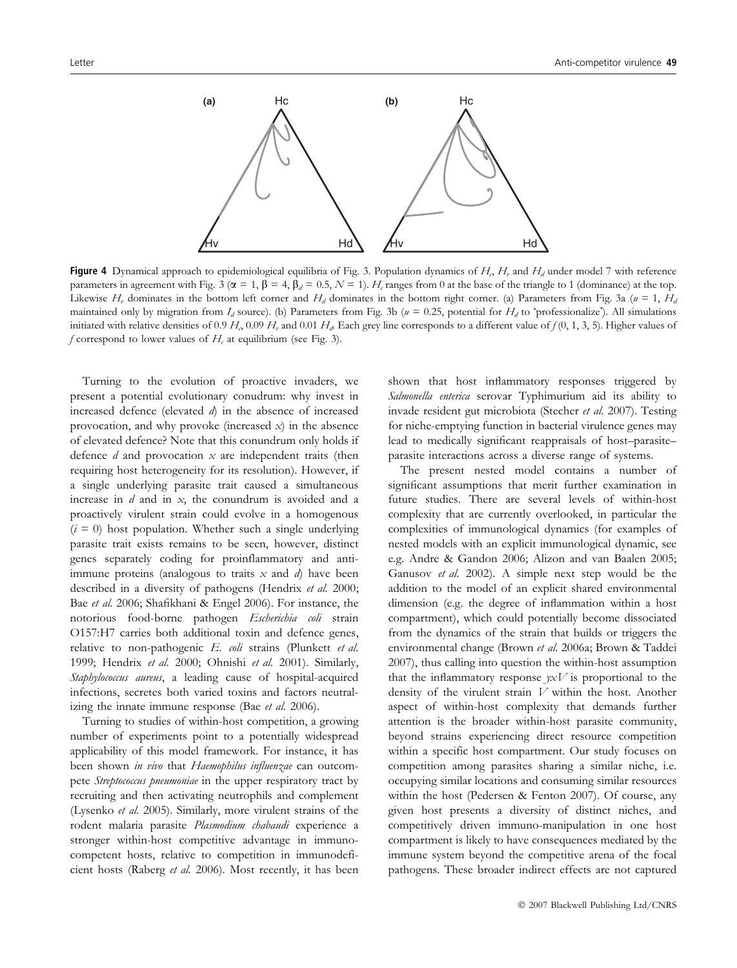

**Figure 4** Dynamical approach to epidemiological equilibria of Fig. 3. Population dynamics of  $H_0$ ,  $H_u$  and  $H_d$  under model 7 with reference parameters in agreement with Fig. 3 ( $\alpha = 1$ ,  $\beta = 4$ ,  $\beta_d = 0.5$ ,  $N = 1$ ).  $H_c$  ranges from 0 at the base of the triangle to 1 (dominance) at the top. Likewise H<sub>v</sub> dominates in the bottom left corner and H<sub>d</sub> dominates in the bottom right corner. (a) Parameters from Fig. 3a ( $u = 1$ , H<sub>d</sub> maintained only by migration from  $I_d$  source). (b) Parameters from Fig. 3b ( $u = 0.25$ , potential for  $H_d$  to 'professionalize'). All simulations initiated with relative densities of 0.9 H<sub>0</sub> 0.09 H<sub>n</sub> and 0.01 H<sub>d</sub>. Each grey line corresponds to a different value of  $f(0, 1, 3, 5)$ . Higher values of f correspond to lower values of  $H_c$  at equilibrium (see Fig. 3).

Turning to the evolution of proactive invaders, we present a potential evolutionary conudrum: why invest in increased defence (elevated d) in the absence of increased provocation, and why provoke (increased  $x$ ) in the absence of elevated defence? Note that this conundrum only holds if defence  $d$  and provocation  $x$  are independent traits (then requiring host heterogeneity for its resolution). However, if a single underlying parasite trait caused a simultaneous increase in  $d$  and in  $x$ , the conundrum is avoided and a proactively virulent strain could evolve in a homogenous  $(i = 0)$  host population. Whether such a single underlying parasite trait exists remains to be seen, however, distinct genes separately coding for proinflammatory and antiimmune proteins (analogous to traits  $x$  and  $d$ ) have been described in a diversity of pathogens (Hendrix et al. 2000; Bae et al. 2006; Shafikhani & Engel 2006). For instance, the notorious food-borne pathogen Escherichia coli strain O157:H7 carries both additional toxin and defence genes, relative to non-pathogenic E. coli strains (Plunkett et al. 1999; Hendrix et al. 2000; Ohnishi et al. 2001). Similarly, Staphylococcus aureus, a leading cause of hospital-acquired infections, secretes both varied toxins and factors neutralizing the innate immune response (Bae et al. 2006).

Turning to studies of within-host competition, a growing number of experiments point to a potentially widespread applicability of this model framework. For instance, it has been shown *in vivo* that *Haemophilus influenzae* can outcompete Streptococcus pneumoniae in the upper respiratory tract by recruiting and then activating neutrophils and complement (Lysenko et al. 2005). Similarly, more virulent strains of the rodent malaria parasite Plasmodium chabaudi experience a stronger within-host competitive advantage in immunocompetent hosts, relative to competition in immunodeficient hosts (Raberg et al. 2006). Most recently, it has been shown that host inflammatory responses triggered by Salmonella enterica serovar Typhimurium aid its ability to invade resident gut microbiota (Stecher et al. 2007). Testing for niche-emptying function in bacterial virulence genes may lead to medically significant reappraisals of host–parasite– parasite interactions across a diverse range of systems.

The present nested model contains a number of significant assumptions that merit further examination in future studies. There are several levels of within-host complexity that are currently overlooked, in particular the complexities of immunological dynamics (for examples of nested models with an explicit immunological dynamic, see e.g. Andre & Gandon 2006; Alizon and van Baalen 2005; Ganusov et al. 2002). A simple next step would be the addition to the model of an explicit shared environmental dimension (e.g. the degree of inflammation within a host compartment), which could potentially become dissociated from the dynamics of the strain that builds or triggers the environmental change (Brown et al. 2006a; Brown & Taddei 2007), thus calling into question the within-host assumption that the inflammatory response  $yxV$  is proportional to the density of the virulent strain V within the host. Another aspect of within-host complexity that demands further attention is the broader within-host parasite community, beyond strains experiencing direct resource competition within a specific host compartment. Our study focuses on competition among parasites sharing a similar niche, i.e. occupying similar locations and consuming similar resources within the host (Pedersen & Fenton 2007). Of course, any given host presents a diversity of distinct niches, and competitively driven immuno-manipulation in one host compartment is likely to have consequences mediated by the immune system beyond the competitive arena of the focal pathogens. These broader indirect effects are not captured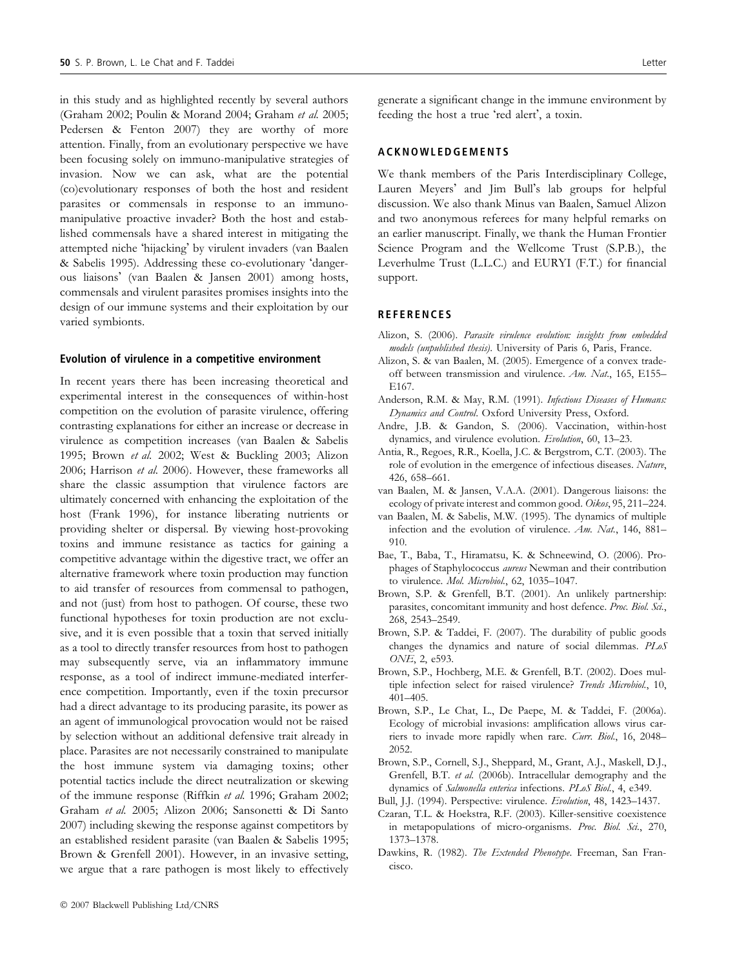in this study and as highlighted recently by several authors (Graham 2002; Poulin & Morand 2004; Graham et al. 2005; Pedersen & Fenton 2007) they are worthy of more attention. Finally, from an evolutionary perspective we have been focusing solely on immuno-manipulative strategies of invasion. Now we can ask, what are the potential (co)evolutionary responses of both the host and resident parasites or commensals in response to an immunomanipulative proactive invader? Both the host and established commensals have a shared interest in mitigating the attempted niche 'hijacking' by virulent invaders (van Baalen & Sabelis 1995). Addressing these co-evolutionary 'dangerous liaisons' (van Baalen & Jansen 2001) among hosts, commensals and virulent parasites promises insights into the design of our immune systems and their exploitation by our varied symbionts.

#### Evolution of virulence in a competitive environment

In recent years there has been increasing theoretical and experimental interest in the consequences of within-host competition on the evolution of parasite virulence, offering contrasting explanations for either an increase or decrease in virulence as competition increases (van Baalen & Sabelis 1995; Brown et al. 2002; West & Buckling 2003; Alizon 2006; Harrison et al. 2006). However, these frameworks all share the classic assumption that virulence factors are ultimately concerned with enhancing the exploitation of the host (Frank 1996), for instance liberating nutrients or providing shelter or dispersal. By viewing host-provoking toxins and immune resistance as tactics for gaining a competitive advantage within the digestive tract, we offer an alternative framework where toxin production may function to aid transfer of resources from commensal to pathogen, and not (just) from host to pathogen. Of course, these two functional hypotheses for toxin production are not exclusive, and it is even possible that a toxin that served initially as a tool to directly transfer resources from host to pathogen may subsequently serve, via an inflammatory immune response, as a tool of indirect immune-mediated interference competition. Importantly, even if the toxin precursor had a direct advantage to its producing parasite, its power as an agent of immunological provocation would not be raised by selection without an additional defensive trait already in place. Parasites are not necessarily constrained to manipulate the host immune system via damaging toxins; other potential tactics include the direct neutralization or skewing of the immune response (Riffkin et al. 1996; Graham 2002; Graham et al. 2005; Alizon 2006; Sansonetti & Di Santo 2007) including skewing the response against competitors by an established resident parasite (van Baalen & Sabelis 1995; Brown & Grenfell 2001). However, in an invasive setting, we argue that a rare pathogen is most likely to effectively

generate a significant change in the immune environment by feeding the host a true 'red alert', a toxin.

### ACKNOWLEDGEMENTS

We thank members of the Paris Interdisciplinary College, Lauren Meyers' and Jim Bull's lab groups for helpful discussion. We also thank Minus van Baalen, Samuel Alizon and two anonymous referees for many helpful remarks on an earlier manuscript. Finally, we thank the Human Frontier Science Program and the Wellcome Trust (S.P.B.), the Leverhulme Trust (L.L.C.) and EURYI (F.T.) for financial support.

#### **REFERENCES**

- Alizon, S. (2006). Parasite virulence evolution: insights from embedded models (unpublished thesis). University of Paris 6, Paris, France.
- Alizon, S. & van Baalen, M. (2005). Emergence of a convex tradeoff between transmission and virulence. Am. Nat., 165, E155– E167.
- Anderson, R.M. & May, R.M. (1991). Infectious Diseases of Humans: Dynamics and Control. Oxford University Press, Oxford.
- Andre, J.B. & Gandon, S. (2006). Vaccination, within-host dynamics, and virulence evolution. Evolution, 60, 13–23.
- Antia, R., Regoes, R.R., Koella, J.C. & Bergstrom, C.T. (2003). The role of evolution in the emergence of infectious diseases. Nature, 426, 658–661.
- van Baalen, M. & Jansen, V.A.A. (2001). Dangerous liaisons: the ecology of private interest and common good. Oikos, 95, 211–224.
- van Baalen, M. & Sabelis, M.W. (1995). The dynamics of multiple infection and the evolution of virulence. Am. Nat., 146, 881– 910.
- Bae, T., Baba, T., Hiramatsu, K. & Schneewind, O. (2006). Prophages of Staphylococcus aureus Newman and their contribution to virulence. Mol. Microbiol., 62, 1035-1047.
- Brown, S.P. & Grenfell, B.T. (2001). An unlikely partnership: parasites, concomitant immunity and host defence. Proc. Biol. Sci., 268, 2543–2549.
- Brown, S.P. & Taddei, F. (2007). The durability of public goods changes the dynamics and nature of social dilemmas. PLoS ONE, 2, e593.
- Brown, S.P., Hochberg, M.E. & Grenfell, B.T. (2002). Does multiple infection select for raised virulence? Trends Microbiol., 10, 401–405.
- Brown, S.P., Le Chat, L., De Paepe, M. & Taddei, F. (2006a). Ecology of microbial invasions: amplification allows virus carriers to invade more rapidly when rare. Curr. Biol., 16, 2048– 2052.
- Brown, S.P., Cornell, S.J., Sheppard, M., Grant, A.J., Maskell, D.J., Grenfell, B.T. et al. (2006b). Intracellular demography and the dynamics of Salmonella enterica infections. PLoS Biol., 4, e349.
- Bull, J.J. (1994). Perspective: virulence. Evolution, 48, 1423–1437.
- Czaran, T.L. & Hoekstra, R.F. (2003). Killer-sensitive coexistence in metapopulations of micro-organisms. Proc. Biol. Sci., 270, 1373–1378.
- Dawkins, R. (1982). The Extended Phenotype. Freeman, San Francisco.